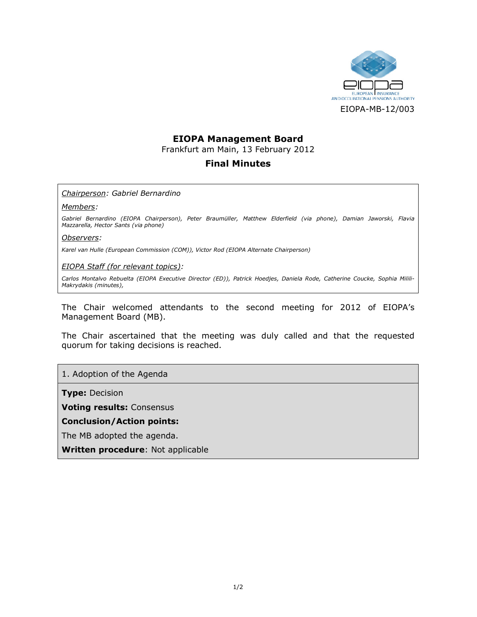

# EIOPA Management Board

Frankfurt am Main, 13 February 2012

# Final Minutes

### Chairperson: Gabriel Bernardino

#### Members:

Gabriel Bernardino (EIOPA Chairperson), Peter Braumüller, Matthew Elderfield (via phone), Damian Jaworski, Flavia Mazzarella, Hector Sants (via phone)

### Observers:

Karel van Hulle (European Commission (COM)), Victor Rod (EIOPA Alternate Chairperson)

### EIOPA Staff (for relevant topics):

Carlos Montalvo Rebuelta (EIOPA Executive Director (ED)), Patrick Hoedjes, Daniela Rode, Catherine Coucke, Sophia Milili-Makrydakis (minutes),

The Chair welcomed attendants to the second meeting for 2012 of EIOPA's Management Board (MB).

The Chair ascertained that the meeting was duly called and that the requested quorum for taking decisions is reached.

### 1. Adoption of the Agenda

**Type: Decision** 

Voting results: Consensus

### Conclusion/Action points:

The MB adopted the agenda.

Written procedure: Not applicable